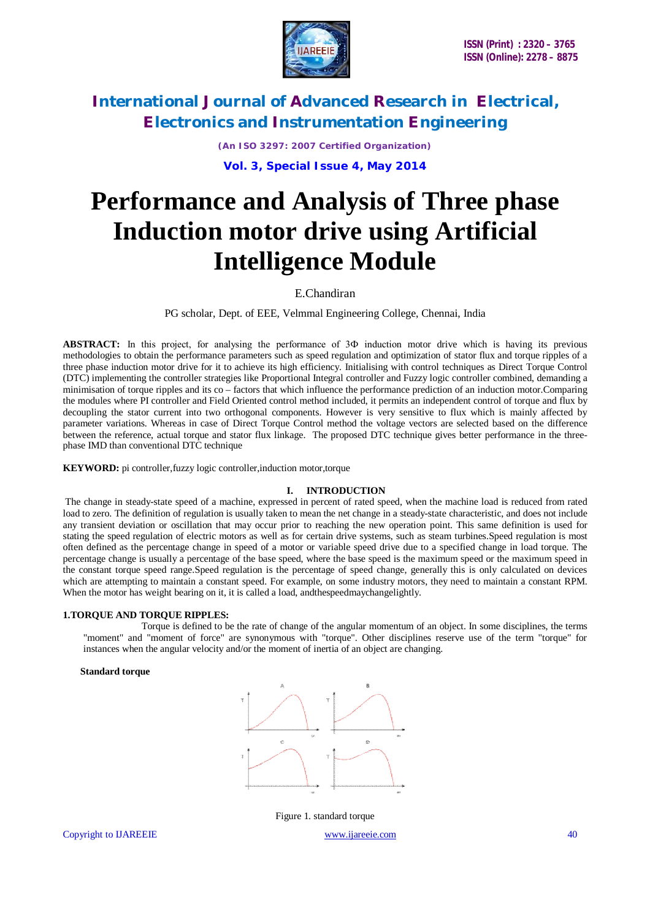

*(An ISO 3297: 2007 Certified Organization)* **Vol. 3, Special Issue 4, May 2014**

# **Performance and Analysis of Three phase Induction motor drive using Artificial Intelligence Module**

### E.Chandiran

PG scholar, Dept. of EEE, Velmmal Engineering College, Chennai, India

**ABSTRACT:** In this project, for analysing the performance of 3Ф induction motor drive which is having its previous methodologies to obtain the performance parameters such as speed regulation and optimization of stator flux and torque ripples of a three phase induction motor drive for it to achieve its high efficiency. Initialising with control techniques as Direct Torque Control (DTC) implementing the controller strategies like Proportional Integral controller and Fuzzy logic controller combined, demanding a minimisation of torque ripples and its co – factors that which influence the performance prediction of an induction motor.Comparing the modules where PI controller and Field Oriented control method included, it permits an independent control of torque and flux by decoupling the stator current into two orthogonal components. However is very sensitive to flux which is mainly affected by parameter variations. Whereas in case of Direct Torque Control method the voltage vectors are selected based on the difference between the reference, actual torque and stator flux linkage. The proposed DTC technique gives better performance in the threephase IMD than conventional DTC technique

**KEYWORD:** pi controller,fuzzy logic controller,induction motor,torque

#### **I. INTRODUCTION**

The change in steady-state speed of a machine, expressed in percent of rated speed, when the machine load is reduced from rated load to zero. The definition of regulation is usually taken to mean the net change in a steady-state characteristic, and does not include any transient deviation or oscillation that may occur prior to reaching the new operation point. This same definition is used for stating the speed regulation of electric motors as well as for certain drive systems, such as steam turbines.Speed regulation is most often defined as the percentage change in speed of a motor or variable speed drive due to a specified change in load torque. The percentage change is usually a percentage of the base speed, where the base speed is the maximum speed or the maximum speed in the constant torque speed range.Speed regulation is the percentage of speed change, generally this is only calculated on devices which are attempting to maintain a constant speed. For example, on some industry motors, they need to maintain a constant RPM. When the motor has weight bearing on it, it is called a load, and the speedmay changelightly.

#### **1.TORQUE AND TORQUE RIPPLES:**

Torque is defined to be the rate of change of the angular momentum of an object. In some disciplines, the terms "moment" and "moment of force" are synonymous with "torque". Other disciplines reserve use of the term "torque" for instances when the angular velocity and/or the moment of inertia of an object are changing.

#### **Standard torque**



Figure 1. standard torque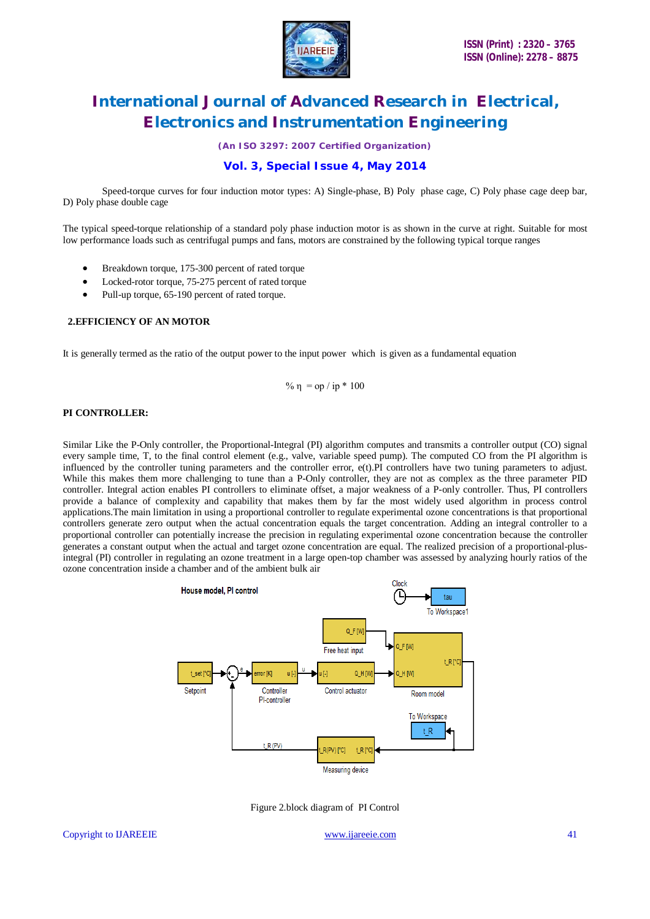

*(An ISO 3297: 2007 Certified Organization)*

### **Vol. 3, Special Issue 4, May 2014**

Speed-torque curves for four induction motor types: A) Single-phase, B) Poly phase cage, C) Poly phase cage deep bar, D) Poly phase double cage

The typical speed-torque relationship of a standard poly phase induction motor is as shown in the curve at right. Suitable for most low performance loads such as centrifugal pumps and fans, motors are constrained by the following typical torque ranges

- Breakdown torque, 175-300 percent of rated torque
- Locked-rotor torque, 75-275 percent of rated torque
- Pull-up torque, 65-190 percent of rated torque.

#### **2.EFFICIENCY OF AN MOTOR**

It is generally termed as the ratio of the output power to the input power which is given as a fundamental equation

$$
\% \eta = op / ip * 100
$$

#### **PI CONTROLLER:**

Similar Like the P-Only controller, the Proportional-Integral (PI) algorithm computes and transmits a controller output (CO) signal every sample time, T, to the final control element (e.g., valve, variable speed pump). The computed CO from the PI algorithm is influenced by the controller tuning parameters and the controller error, e(t).PI controllers have two tuning parameters to adjust. While this makes them more challenging to tune than a P-Only controller, they are not as complex as the three parameter PID controller. Integral action enables PI controllers to eliminate offset, a major weakness of a P-only controller. Thus, PI controllers provide a balance of complexity and capability that makes them by far the most widely used algorithm in process control applications.The main limitation in using a proportional controller to regulate experimental ozone concentrations is that proportional controllers generate zero output when the actual concentration equals the target concentration. Adding an integral controller to a proportional controller can potentially increase the precision in regulating experimental ozone concentration because the controller generates a constant output when the actual and target ozone concentration are equal. The realized precision of a proportional-plusintegral (PI) controller in regulating an ozone treatment in a large open-top chamber was assessed by analyzing hourly ratios of the ozone concentration inside a chamber and of the ambient bulk air



Figure 2.block diagram of PI Control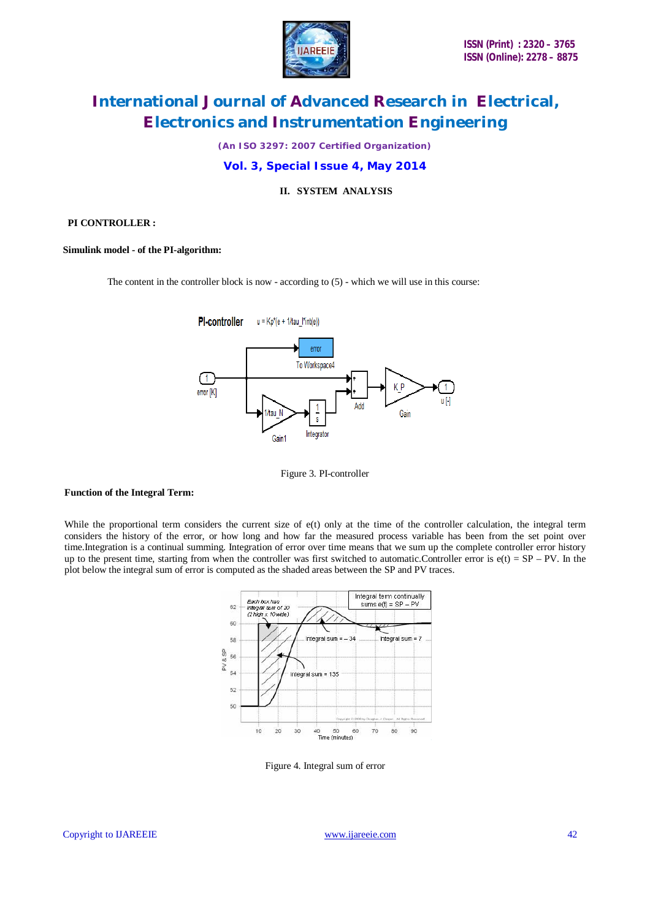

*(An ISO 3297: 2007 Certified Organization)*

### **Vol. 3, Special Issue 4, May 2014**

### **II. SYSTEM ANALYSIS**

#### **PI CONTROLLER :**

#### **Simulink model - of the PI-algorithm:**

The content in the controller block is now - according to (5) - which we will use in this course:



Figure 3. PI-controller

#### **Function of the Integral Term:**

While the proportional term considers the current size of e(t) only at the time of the controller calculation, the integral term considers the history of the error, or how long and how far the measured process variable has been from the set point over time.Integration is a continual summing. Integration of error over time means that we sum up the complete controller error history up to the present time, starting from when the controller was first switched to automatic.Controller error is  $e(t) = SP - PV$ . In the plot below the integral sum of error is computed as the shaded areas between the SP and PV traces.



Figure 4. Integral sum of error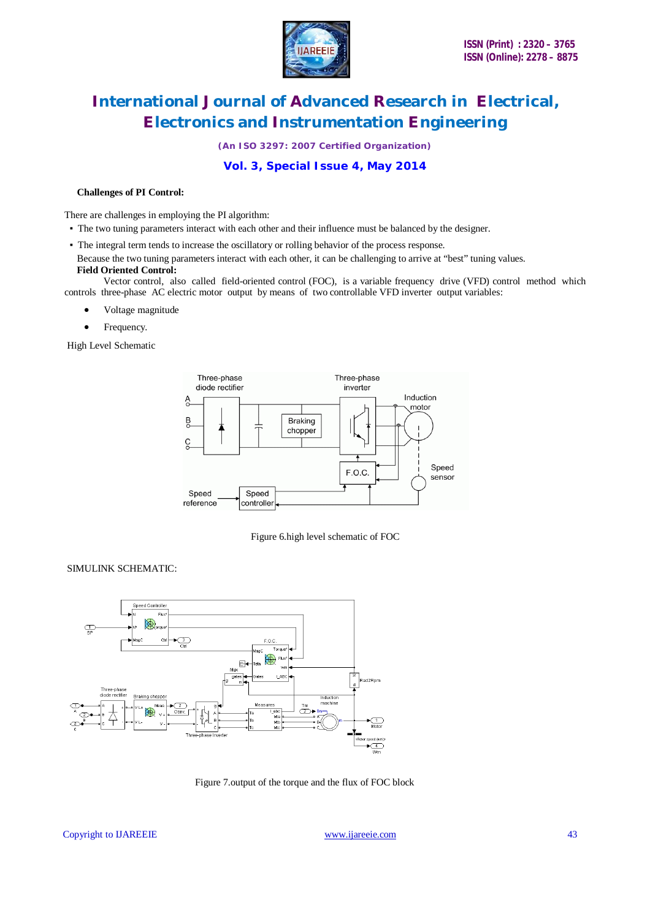

*(An ISO 3297: 2007 Certified Organization)*

# **Vol. 3, Special Issue 4, May 2014**

#### **Challenges of PI Control:**

There are challenges in employing the PI algorithm:

- The two tuning parameters interact with each other and their influence must be balanced by the designer.
- The integral term tends to increase the oscillatory or rolling behavior of the process response.
- Because the two tuning parameters interact with each other, it can be challenging to arrive at "best" tuning values.  **Field Oriented Control:**

 Vector control, also called field-oriented control (FOC), is a variable frequency drive (VFD) control method which controls three-phase AC electric motor output by means of two controllable VFD inverter output variables:

- Voltage magnitude
- Frequency.

High Level Schematic



Figure 6.high level schematic of FOC

### SIMULINK SCHEMATIC:



Figure 7.output of the torque and the flux of FOC block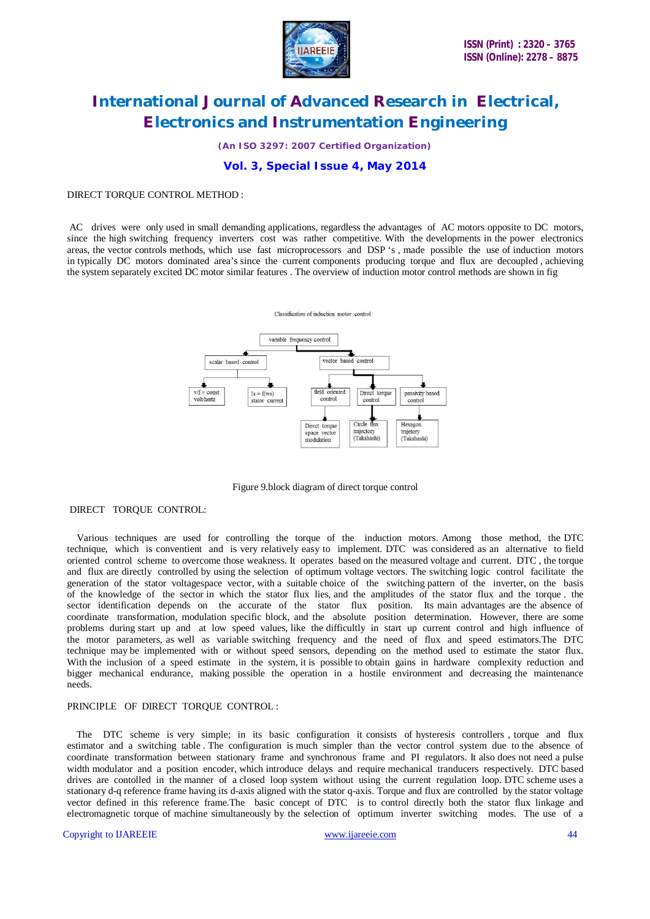

*(An ISO 3297: 2007 Certified Organization)*

### **Vol. 3, Special Issue 4, May 2014**

#### DIRECT TORQUE CONTROL METHOD :

AC drives were only used in small demanding applications, regardless the advantages of AC motors opposite to DC motors, since the high switching frequency inverters cost was rather competitive. With the developments in the power electronics areas, the vector controls methods, which use fast microprocessors and DSP 's , made possible the use of induction motors in typically DC motors dominated area's since the current components producing torque and flux are decoupled , achieving the system separately excited DC motor similar features . The overview of induction motor control methods are shown in fig



Figure 9.block diagram of direct torque control

#### DIRECT TORQUE CONTROL:

 Various techniques are used for controlling the torque of the induction motors. Among those method, the DTC technique, which is conventient and is very relatively easy to implement. DTC was considered as an alternative to field oriented control scheme to overcome those weakness. It operates based on the measured voltage and current. DTC , the torque and flux are directly controlled by using the selection of optimum voltage vectors. The switching logic control facilitate the generation of the stator voltagespace vector, with a suitable choice of the switching pattern of the inverter, on the basis of the knowledge of the sector in which the stator flux lies, and the amplitudes of the stator flux and the torque . the sector identification depends on the accurate of the stator flux position. Its main advantages are the absence of coordinate transformation, modulation specific block, and the absolute position determination. However, there are some problems during start up and at low speed values, like the difficultly in start up current control and high influence of the motor parameters, as well as variable switching frequency and the need of flux and speed estimators.The DTC technique may be implemented with or without speed sensors, depending on the method used to estimate the stator flux. With the inclusion of a speed estimate in the system, it is possible to obtain gains in hardware complexity reduction and bigger mechanical endurance, making possible the operation in a hostile environment and decreasing the maintenance needs.

#### PRINCIPLE OF DIRECT TORQUE CONTROL :

 The DTC scheme is very simple; in its basic configuration it consists of hysteresis controllers , torque and flux estimator and a switching table . The configuration is much simpler than the vector control system due to the absence of coordinate transformation between stationary frame and synchronous frame and PI regulators. It also does not need a pulse width modulator and a position encoder, which introduce delays and require mechanical tranducers respectively. DTC based drives are contolled in the manner of a closed loop system without using the current regulation loop. DTC scheme uses a stationary d-q reference frame having its d-axis aligned with the stator q-axis. Torque and flux are controlled by the stator voltage vector defined in this reference frame.The basic concept of DTC is to control directly both the stator flux linkage and electromagnetic torque of machine simultaneously by the selection of optimum inverter switching modes. The use of a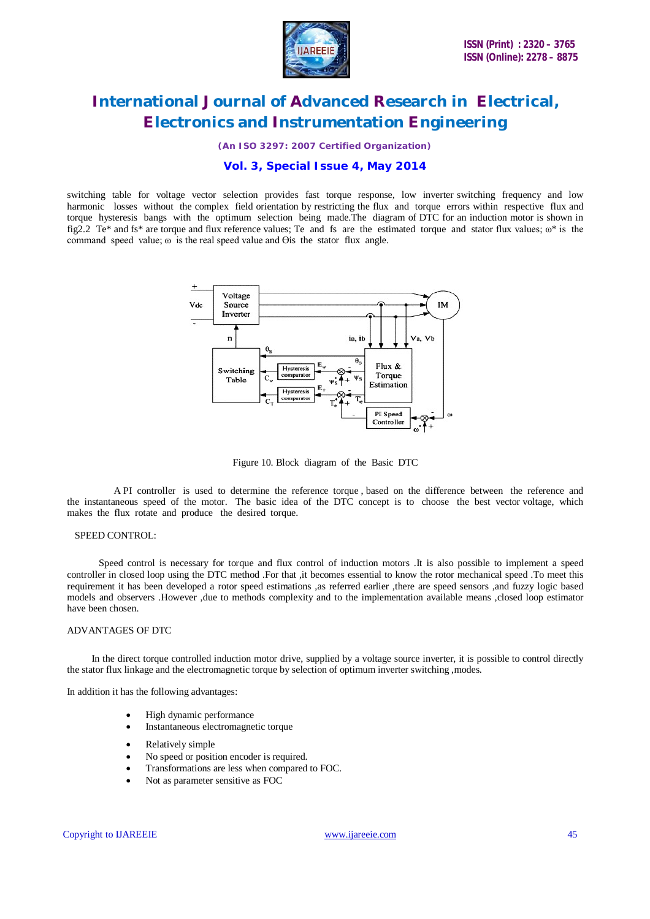

*(An ISO 3297: 2007 Certified Organization)*

### **Vol. 3, Special Issue 4, May 2014**

switching table for voltage vector selection provides fast torque response, low inverter switching frequency and low harmonic losses without the complex field orientation by restricting the flux and torque errors within respective flux and torque hysteresis bangs with the optimum selection being made.The diagram of DTC for an induction motor is shown in fig2.2 Te\* and fs\* are torque and flux reference values; Te and fs are the estimated torque and stator flux values; ω\* is the command speed value;  $\omega$  is the real speed value and  $\Theta$ is the stator flux angle.



Figure 10. Block diagram of the Basic DTC

 A PI controller is used to determine the reference torque , based on the difference between the reference and the instantaneous speed of the motor. The basic idea of the DTC concept is to choose the best vector voltage, which makes the flux rotate and produce the desired torque.

#### SPEED CONTROL:

 Speed control is necessary for torque and flux control of induction motors .It is also possible to implement a speed controller in closed loop using the DTC method .For that ,it becomes essential to know the rotor mechanical speed .To meet this requirement it has been developed a rotor speed estimations ,as referred earlier ,there are speed sensors ,and fuzzy logic based models and observers .However ,due to methods complexity and to the implementation available means ,closed loop estimator have been chosen.

#### ADVANTAGES OF DTC

 In the direct torque controlled induction motor drive, supplied by a voltage source inverter, it is possible to control directly the stator flux linkage and the electromagnetic torque by selection of optimum inverter switching ,modes.

In addition it has the following advantages:

- High dynamic performance
- Instantaneous electromagnetic torque
- Relatively simple
- No speed or position encoder is required.
- Transformations are less when compared to FOC.
- Not as parameter sensitive as FOC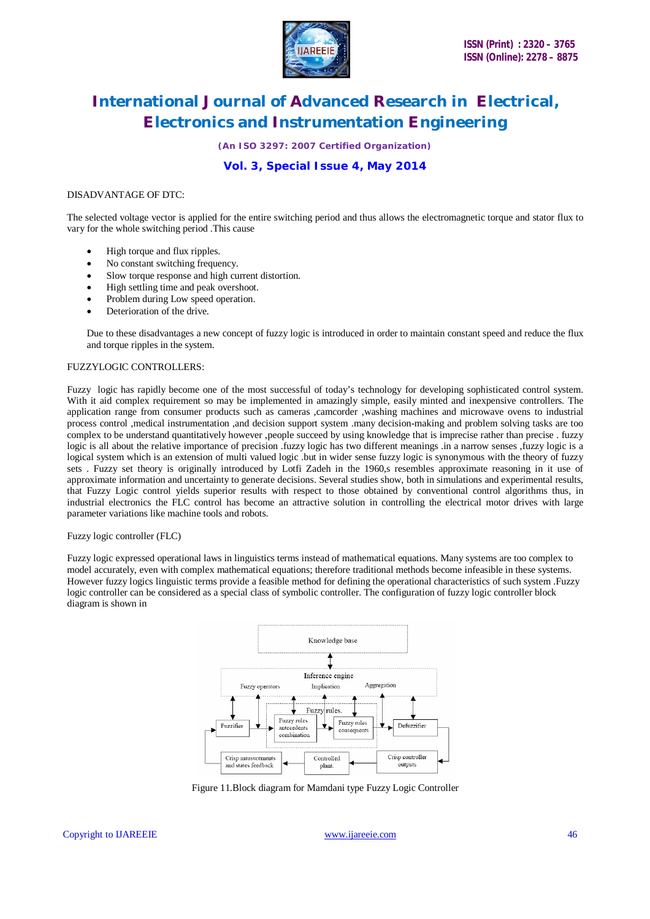

*(An ISO 3297: 2007 Certified Organization)*

# **Vol. 3, Special Issue 4, May 2014**

#### DISADVANTAGE OF DTC:

The selected voltage vector is applied for the entire switching period and thus allows the electromagnetic torque and stator flux to vary for the whole switching period .This cause

- High torque and flux ripples.
- No constant switching frequency.
- Slow torque response and high current distortion.
- High settling time and peak overshoot.
- Problem during Low speed operation.
- Deterioration of the drive.

Due to these disadvantages a new concept of fuzzy logic is introduced in order to maintain constant speed and reduce the flux and torque ripples in the system.

#### FUZZYLOGIC CONTROLLERS:

Fuzzy logic has rapidly become one of the most successful of today's technology for developing sophisticated control system. With it aid complex requirement so may be implemented in amazingly simple, easily minted and inexpensive controllers. The application range from consumer products such as cameras ,camcorder ,washing machines and microwave ovens to industrial process control ,medical instrumentation ,and decision support system .many decision-making and problem solving tasks are too complex to be understand quantitatively however ,people succeed by using knowledge that is imprecise rather than precise . fuzzy logic is all about the relative importance of precision .fuzzy logic has two different meanings .in a narrow senses ,fuzzy logic is a logical system which is an extension of multi valued logic .but in wider sense fuzzy logic is synonymous with the theory of fuzzy sets . Fuzzy set theory is originally introduced by Lotfi Zadeh in the 1960,s resembles approximate reasoning in it use of approximate information and uncertainty to generate decisions. Several studies show, both in simulations and experimental results, that Fuzzy Logic control yields superior results with respect to those obtained by conventional control algorithms thus, in industrial electronics the FLC control has become an attractive solution in controlling the electrical motor drives with large parameter variations like machine tools and robots.

#### Fuzzy logic controller (FLC)

Fuzzy logic expressed operational laws in linguistics terms instead of mathematical equations. Many systems are too complex to model accurately, even with complex mathematical equations; therefore traditional methods become infeasible in these systems. However fuzzy logics linguistic terms provide a feasible method for defining the operational characteristics of such system .Fuzzy logic controller can be considered as a special class of symbolic controller. The configuration of fuzzy logic controller block diagram is shown in



Figure 11.Block diagram for Mamdani type Fuzzy Logic Controller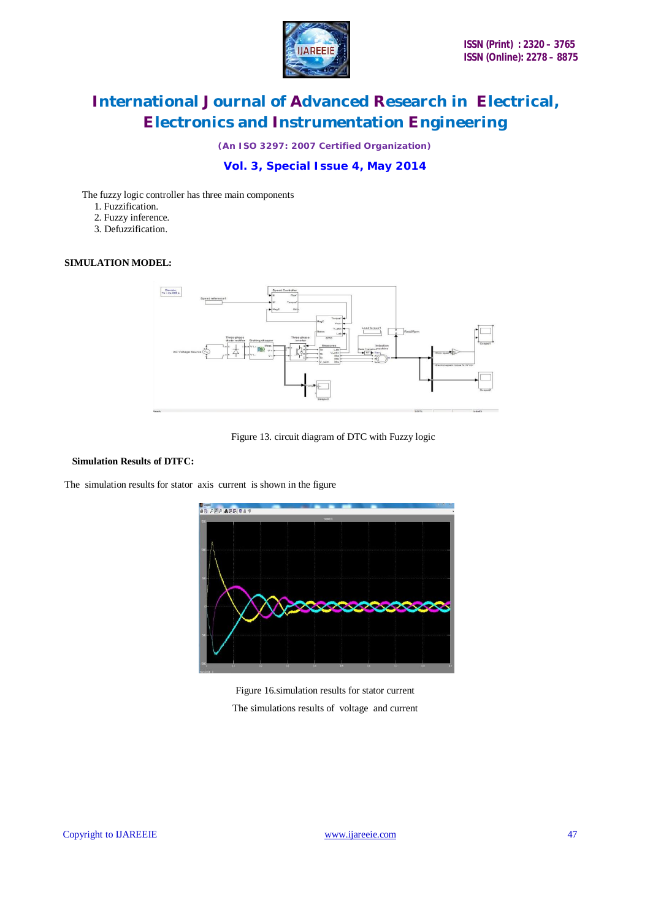

*(An ISO 3297: 2007 Certified Organization)*

# **Vol. 3, Special Issue 4, May 2014**

The fuzzy logic controller has three main components

- 1. Fuzzification.
- 2. Fuzzy inference.
- 3. Defuzzification.

#### **SIMULATION MODEL:**



### Figure 13. circuit diagram of DTC with Fuzzy logic

### **Simulation Results of DTFC:**

The simulation results for stator axis current is shown in the figure



Figure 16.simulation results for stator current The simulations results of voltage and current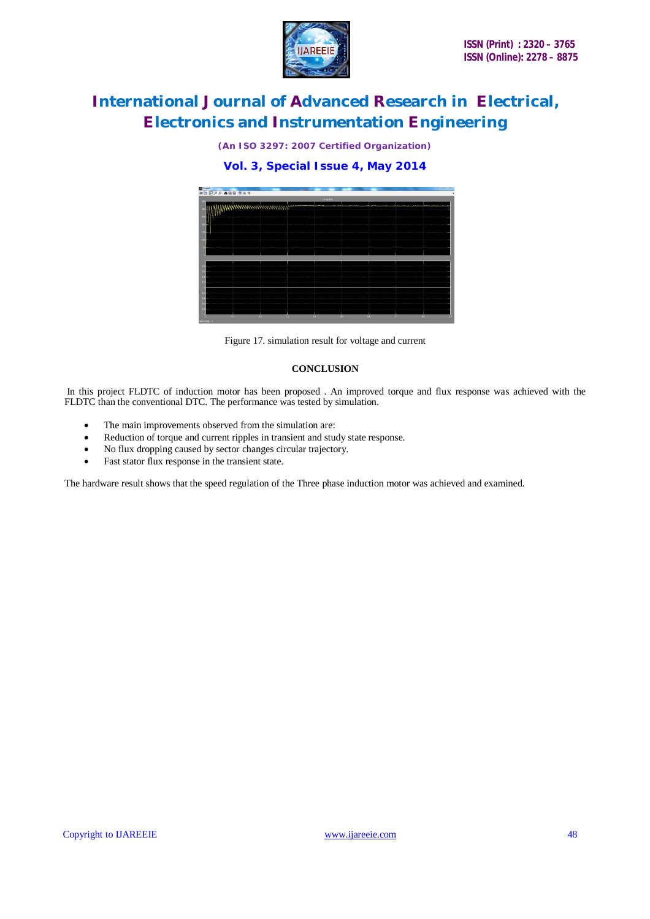

*(An ISO 3297: 2007 Certified Organization)*

**Vol. 3, Special Issue 4, May 2014**



Figure 17. simulation result for voltage and current

#### **CONCLUSION**

In this project FLDTC of induction motor has been proposed . An improved torque and flux response was achieved with the FLDTC than the conventional DTC. The performance was tested by simulation.

- The main improvements observed from the simulation are:
- Reduction of torque and current ripples in transient and study state response.
- No flux dropping caused by sector changes circular trajectory.
- Fast stator flux response in the transient state.

The hardware result shows that the speed regulation of the Three phase induction motor was achieved and examined.